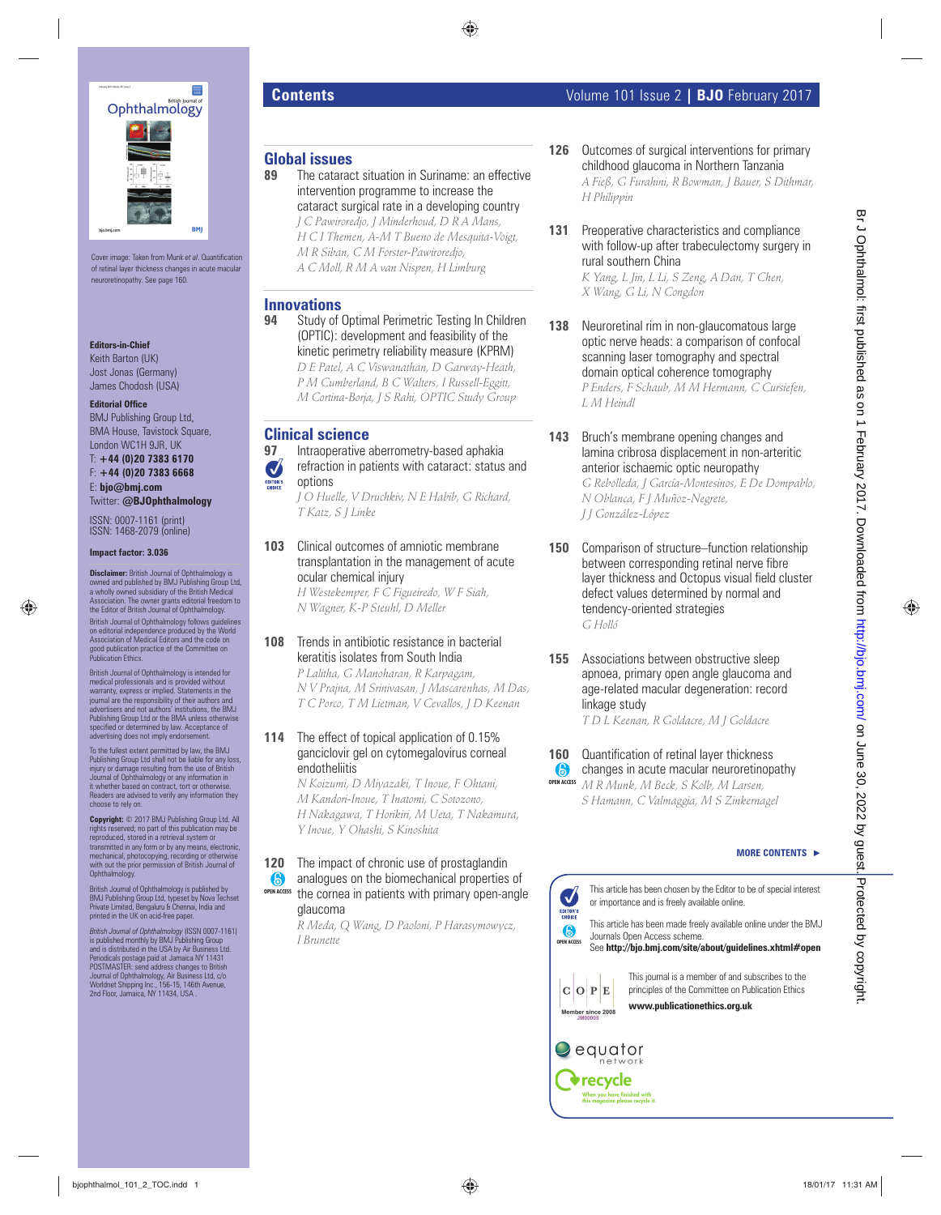

Cover image: Taken from Munk et al. Quantification of retinal layer thickness changes in acute macular neuroretinopathy. See page 160.

### **Editors-in-Chief**

Keith Barton (UK) Jost Jonas (Germany) James Chodosh (USA)

## **Editorial Office**

BMJ Publishing Group Ltd, BMA House, Tavistock Square, London WC1H 9JR, UK

T: **+44 (0)20 7383 6170** F: **+44 (0)20 7383 6668**

E: **bjo@bmj.com** Twitter: **@BJOphthalmology**

ISSN: 0007-1161 (print) ISSN: 1468-2079 (online)

**Impact factor: 3.036**

**Disclaimer:** British Journal of Ophthalmology is owned and published by BMJ Publishing Group Ltd, a wholly owned subsidiary of the British Medical Association. The owner grants editorial freedom to the Editor of British Journal of Ophthalmology. British Journal of Ophthalmology follows guidelines on editorial independence produced by the World Association of Medical Editors and the code on

good publication practice of the Committee on Publication Ethics. British Journal of Ophthalmology is intended for medical professionals and is provided without warranty, express or implied. Statements in the journal are the responsibility of their authors and advertisers and not authors' institutions, the BMJ Publishing Group Ltd or the BMA unless otherwise specified or determined by law. Acceptance of advertising does not imply endorsement.

To the fullest extent permitted by law, the BMJ Publishing Group Ltd shall not be liable for any loss, injury or damage resulting from the use of British Journal of Ophthalmology or any information in it whether based on contract, tort or otherwise. Readers are advised to verify any information they choose to rely on.

**Copyright:** © 2017 BMJ Publishing Group Ltd. All rights reserved; no part of this publication may be reproduced, stored in a retrieval system or transmitted in any form or by any means, electronic, mechanical, photocopying, recording or otherwise with out the prior permission of British Journal of Ophthalmology.

British Journal of Ophthalmology is published by BMJ Publishing Group Ltd, typeset by Nova Techset Private Limited, Bengaluru & Chennai, India and printed in the UK on acid-free paper.

*British Journal of Ophthalmology* (ISSN 0007-1161) is published monthly by BMJ Publishing Group and is distributed in the USA by Air Business Ltd. Periodicals postage paid at Jamaica NY 11431<br>POSTMASTER: send address changes to British<br>Journal of Ophthalmology, Air Business Ltd, c/o<br>Worldnet Shipping Inc., 156-15, 146th Avenue,<br>2nd Floor, Jamaica, NY 11434, USA .

# **Global issues**

- The cataract situation in Suriname: an effective intervention programme to increase the cataract surgical rate in a developing country
	- *J C Pawiroredjo, J Minderhoud, D R A Mans, H C I Themen, A-M T Bueno de Mesquita-Voigt, M R Siban, C M Forster-Pawiroredjo, A C Moll, R M A van Nispen, H Limburg*

# **Innovations**

**94** Study of Optimal Perimetric Testing In Children (OPTIC): development and feasibility of the kinetic perimetry reliability measure (KPRM)  *D E Patel, A C Viswanathan, D Garway-Heath, P M Cumberland, B C Walters, I Russell-Eggitt, M Cortina-Borja, J S Rahi, OPTIC Study Group* 

# **Clinical science**<br>97 **Intrapperative**

 **97** Intraoperative aberrometry-based aphakia refraction in patients with cataract: status and options

 *J O Huelle, V Druchkiv, N E Habib, G Richard, T Katz, S J Linke* 

 **103** Clinical outcomes of amniotic membrane transplantation in the management of acute ocular chemical injury

 *H Westekemper, F C Figueiredo, W F Siah, N Wagner, K-P Steuhl, D Meller* 

# **108** Trends in antibiotic resistance in bacterial keratitis isolates from South India

 *P Lalitha, G Manoharan, R Karpagam, N V Prajna, M Srinivasan, J Mascarenhas, M Das, T C Porco, T M Lietman, V Cevallos, J D Keenan* 

## **114** The effect of topical application of 0.15% ganciclovir gel on cytomegalovirus corneal endotheliitis

 *N Koizumi, D Miyazaki, T Inoue, F Ohtani, M Kandori-Inoue, T Inatomi, C Sotozono, H Nakagawa, T Horikiri, M Ueta, T Nakamura, Y Inoue, Y Ohashi, S Kinoshita* 

**120** The impact of chronic use of prostaglandin analogues on the biomechanical properties of the cornea in patients with primary open-angle glaucoma **OPEN ACCESS**

> *R Meda, Q Wang, D Paoloni, P Harasymowycz, I Brunette*

# **Contents Contents Contents Contents Contents Volume** 101 Issue 2 | **BJO** February 2017

- **126** Outcomes of surgical interventions for primary childhood glaucoma in Northern Tanzania  *A Fieß, G Furahini, R Bowman, J Bauer, S Dithmar, H Philippin*
- **131** Preoperative characteristics and compliance with follow-up after trabeculectomy surgery in rural southern China

 *K Yang, L Jin, L Li, S Zeng, A Dan, T Chen, X Wang, G Li, N Congdon* 

- **138** Neuroretinal rim in non-glaucomatous large optic nerve heads: a comparison of confocal scanning laser tomography and spectral domain optical coherence tomography  *P Enders, F Schaub, M M Hermann, C Cursiefen, L M Heindl*
- **143** Bruch's membrane opening changes and lamina cribrosa displacement in non-arteritic anterior ischaemic optic neuropathy

 *G Rebolleda, J García-Montesinos, E De Dompablo, N Oblanca, F J Muñoz-Negrete, J J González-López* 

- **150** Comparison of structure–function relationship between corresponding retinal nerve fibre layer thickness and Octopus visual field cluster defect values determined by normal and tendency-oriented strategies  *G Holló*  **by**  $\frac{1}{2}$   $\frac{1}{2}$   $\frac{1}{2}$   $\frac{1}{2}$   $\frac{1}{2}$   $\frac{1}{2}$   $\frac{1}{2}$   $\frac{1}{2}$   $\frac{1}{2}$   $\frac{1}{2}$   $\frac{1}{2}$   $\frac{1}{2}$   $\frac{1}{2}$   $\frac{1}{2}$   $\frac{1}{2}$   $\frac{1}{2}$   $\frac{1}{2}$   $\frac{1}{2}$   $\frac{1}{2}$   $\frac{1}{2}$   $\frac{1}{2}$   $\frac{1}{$ 
	- **155** Associations between obstructive sleep apnoea, primary open angle glaucoma and age-related macular degeneration: record linkage study  *T D L Keenan, R Goldacre, M J Goldacre*

# **160** Quantification of retinal layer thickness

changes in acute macular neuroretinopathy  *M R Munk, M Beck, S Kolb, M Larsen, S Hamann, C Valmaggia, M S Zinkernagel*  **OPEN ACCESS**

# **MORE CONTENTS** -



**OPEN ACCESS** This article has been made freely available online under the BMJ Journals Open Access scheme.

See **http://bjo.bmj.com/site/about/guidelines.xhtml#open** 



This journal is a member of and subscribes to the principles of the Committee on Publication Ethics **www.publicationethics.org.uk**